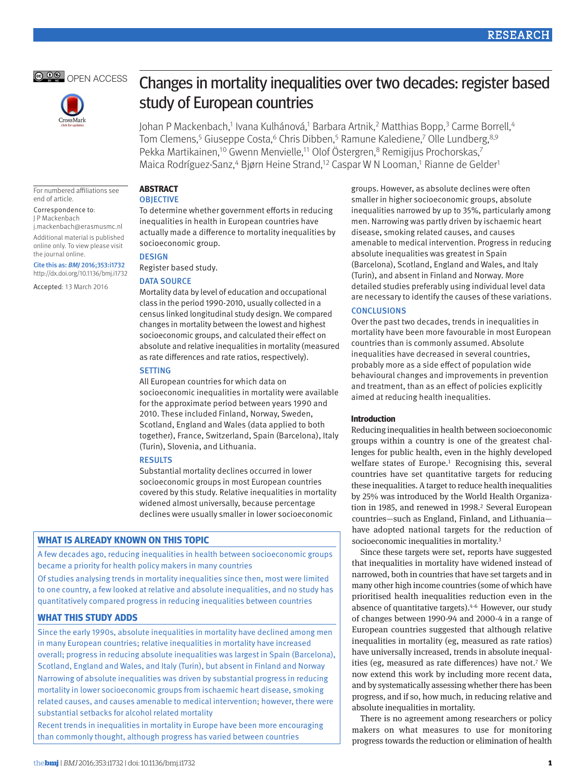**C OC** OPEN ACCESS



# Changes in mortality inequalities over two decades: register based study of European countries

Johan P Mackenbach,<sup>1</sup> Ivana Kulhánová,<sup>1</sup> Barbara Artnik,<sup>2</sup> Matthias Bopp,<sup>3</sup> Carme Borrell,<sup>4</sup> Tom Clemens,<sup>5</sup> Giuseppe Costa,<sup>6</sup> Chris Dibben,<sup>5</sup> Ramune Kalediene,7 Olle Lundberg,<sup>8,9</sup> Pekka Martikainen,<sup>10</sup> Gwenn Menvielle,<sup>11</sup> Olof Östergren,<sup>8</sup> Remigijus Prochorskas,<sup>7</sup> Maica Rodríguez-Sanz,<sup>4</sup> Bjørn Heine Strand,<sup>12</sup> Caspar W N Looman,<sup>1</sup> Rianne de Gelder<sup>1</sup>

For numbered affiliations see end of article.

Correspondence to: J P Mackenbach

j.mackenbach@erasmusmc.nl Additional material is published online only. To view please visit the journal online.

Cite this as: *BMJ* 2016;353:i1732 http://dx.doi.org/10.1136/bmj.i1732

Accepted: 13 March 2016

## **ABSTRACT OBJECTIVE**

To determine whether government efforts in reducing inequalities in health in European countries have actually made a difference to mortality inequalities by socioeconomic group.

**DESIGN** Register based study.

## DATA SOURCE

Mortality data by level of education and occupational class in the period 1990-2010, usually collected in a census linked longitudinal study design. We compared changes in mortality between the lowest and highest socioeconomic groups, and calculated their effect on absolute and relative inequalities in mortality (measured as rate differences and rate ratios, respectively).

## **SETTING**

All European countries for which data on socioeconomic inequalities in mortality were available for the approximate period between years 1990 and 2010. These included Finland, Norway, Sweden, Scotland, England and Wales (data applied to both together), France, Switzerland, Spain (Barcelona), Italy (Turin), Slovenia, and Lithuania.

## **RESULTS**

Substantial mortality declines occurred in lower socioeconomic groups in most European countries covered by this study. Relative inequalities in mortality widened almost universally, because percentage declines were usually smaller in lower socioeconomic

# **What is already known on this topic**

A few decades ago, reducing inequalities in health between socioeconomic groups became a priority for health policy makers in many countries

Of studies analysing trends in mortality inequalities since then, most were limited to one country, a few looked at relative and absolute inequalities, and no study has quantitatively compared progress in reducing inequalities between countries

# **What this study adds**

Since the early 1990s, absolute inequalities in mortality have declined among men in many European countries; relative inequalities in mortality have increased overall; progress in reducing absolute inequalities was largest in Spain (Barcelona), Scotland, England and Wales, and Italy (Turin), but absent in Finland and Norway Narrowing of absolute inequalities was driven by substantial progress in reducing mortality in lower socioeconomic groups from ischaemic heart disease, smoking related causes, and causes amenable to medical intervention; however, there were substantial setbacks for alcohol related mortality

Recent trends in inequalities in mortality in Europe have been more encouraging than commonly thought, although progress has varied between countries

groups. However, as absolute declines were often smaller in higher socioeconomic groups, absolute inequalities narrowed by up to 35%, particularly among men. Narrowing was partly driven by ischaemic heart disease, smoking related causes, and causes amenable to medical intervention. Progress in reducing absolute inequalities was greatest in Spain (Barcelona), Scotland, England and Wales, and Italy (Turin), and absent in Finland and Norway. More detailed studies preferably using individual level data are necessary to identify the causes of these variations.

## **CONCLUSIONS**

Over the past two decades, trends in inequalities in mortality have been more favourable in most European countries than is commonly assumed. Absolute inequalities have decreased in several countries, probably more as a side effect of population wide behavioural changes and improvements in prevention and treatment, than as an effect of policies explicitly aimed at reducing health inequalities.

## **Introduction**

Reducing inequalities in health between socioeconomic groups within a country is one of the greatest challenges for public health, even in the highly developed welfare states of Europe.<sup>1</sup> Recognising this, several countries have set quantitative targets for reducing these inequalities. A target to reduce health inequalities by 25% was introduced by the World Health Organization in 1985, and renewed in 1998.<sup>2</sup> Several European countries—such as England, Finland, and Lithuania have adopted national targets for the reduction of socioeconomic inequalities in mortality.<sup>3</sup>

Since these targets were set, reports have suggested that inequalities in mortality have widened instead of narrowed, both in countries that have set targets and in many other high income countries (some of which have prioritised health inequalities reduction even in the absence of quantitative targets).<sup>4-6</sup> However, our study of changes between 1990-94 and 2000-4 in a range of European countries suggested that although relative inequalities in mortality (eg, measured as rate ratios) have universally increased, trends in absolute inequalities (eg, measured as rate differences) have not.7 We now extend this work by including more recent data, and by systematically assessing whether there has been progress, and if so, how much, in reducing relative and absolute inequalities in mortality.

There is no agreement among researchers or policy makers on what measures to use for monitoring progress towards the reduction or elimination of health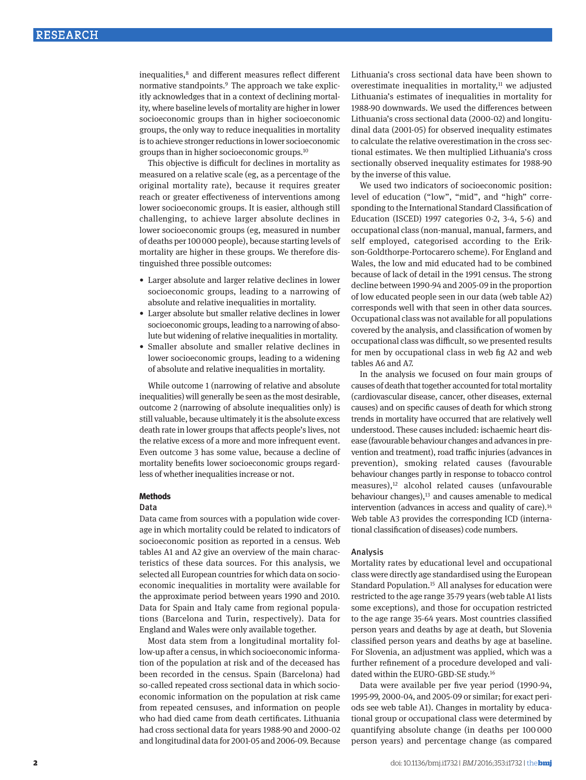inequalities,<sup>8</sup> and different measures reflect different normative standpoints.<sup>9</sup> The approach we take explicitly acknowledges that in a context of declining mortality, where baseline levels of mortality are higher in lower socioeconomic groups than in higher socioeconomic groups, the only way to reduce inequalities in mortality is to achieve stronger reductions in lower socioeconomic groups than in higher socioeconomic groups.10

This objective is difficult for declines in mortality as measured on a relative scale (eg, as a percentage of the original mortality rate), because it requires greater reach or greater effectiveness of interventions among lower socioeconomic groups. It is easier, although still challenging, to achieve larger absolute declines in lower socioeconomic groups (eg, measured in number of deaths per 100000 people), because starting levels of mortality are higher in these groups. We therefore distinguished three possible outcomes:

- Larger absolute and larger relative declines in lower socioeconomic groups, leading to a narrowing of absolute and relative inequalities in mortality.
- Larger absolute but smaller relative declines in lower socioeconomic groups, leading to a narrowing of absolute but widening of relative inequalities in mortality.
- Smaller absolute and smaller relative declines in lower socioeconomic groups, leading to a widening of absolute and relative inequalities in mortality.

While outcome 1 (narrowing of relative and absolute inequalities) will generally be seen as the most desirable, outcome 2 (narrowing of absolute inequalities only) is still valuable, because ultimately it is the absolute excess death rate in lower groups that affects people's lives, not the relative excess of a more and more infrequent event. Even outcome 3 has some value, because a decline of mortality benefits lower socioeconomic groups regardless of whether inequalities increase or not.

## **Methods**

## Data

Data came from sources with a population wide coverage in which mortality could be related to indicators of socioeconomic position as reported in a census. Web tables A1 and A2 give an overview of the main characteristics of these data sources. For this analysis, we selected all European countries for which data on socioeconomic inequalities in mortality were available for the approximate period between years 1990 and 2010. Data for Spain and Italy came from regional populations (Barcelona and Turin, respectively). Data for England and Wales were only available together.

Most data stem from a longitudinal mortality follow-up after a census, in which socioeconomic information of the population at risk and of the deceased has been recorded in the census. Spain (Barcelona) had so-called repeated cross sectional data in which socioeconomic information on the population at risk came from repeated censuses, and information on people who had died came from death certificates. Lithuania had cross sectional data for years 1988-90 and 2000-02 and longitudinal data for 2001-05 and 2006-09. Because

Lithuania's cross sectional data have been shown to overestimate inequalities in mortality, $11$  we adjusted Lithuania's estimates of inequalities in mortality for 1988-90 downwards. We used the differences between Lithuania's cross sectional data (2000-02) and longitudinal data (2001-05) for observed inequality estimates to calculate the relative overestimation in the cross sectional estimates. We then multiplied Lithuania's cross sectionally observed inequality estimates for 1988-90 by the inverse of this value.

We used two indicators of socioeconomic position: level of education ("low", "mid", and "high" corresponding to the International Standard Classification of Education (ISCED) 1997 categories 0-2, 3-4, 5-6) and occupational class (non-manual, manual, farmers, and self employed, categorised according to the Erikson-Goldthorpe-Portocarero scheme). For England and Wales, the low and mid educated had to be combined because of lack of detail in the 1991 census. The strong decline between 1990-94 and 2005-09 in the proportion of low educated people seen in our data (web table A2) corresponds well with that seen in other data sources. Occupational class was not available for all populations covered by the analysis, and classification of women by occupational class was difficult, so we presented results for men by occupational class in web fig A2 and web tables A6 and A7.

In the analysis we focused on four main groups of causes of death that together accounted for total mortality (cardiovascular disease, cancer, other diseases, external causes) and on specific causes of death for which strong trends in mortality have occurred that are relatively well understood. These causes included: ischaemic heart disease (favourable behaviour changes and advances in prevention and treatment), road traffic injuries (advances in prevention), smoking related causes (favourable behaviour changes partly in response to tobacco control measures),<sup>12</sup> alcohol related causes (unfavourable behaviour changes), $13$  and causes amenable to medical intervention (advances in access and quality of care).<sup>14</sup> Web table A3 provides the corresponding ICD (international classification of diseases) code numbers.

#### Analysis

Mortality rates by educational level and occupational class were directly age standardised using the European Standard Population.<sup>15</sup> All analyses for education were restricted to the age range 35-79 years (web table A1 lists some exceptions), and those for occupation restricted to the age range 35-64 years. Most countries classified person years and deaths by age at death, but Slovenia classified person years and deaths by age at baseline. For Slovenia, an adjustment was applied, which was a further refinement of a procedure developed and validated within the EURO-GBD-SE study.16

Data were available per five year period (1990-94, 1995-99, 2000-04, and 2005-09 or similar; for exact periods see web table A1). Changes in mortality by educational group or occupational class were determined by quantifying absolute change (in deaths per 100000 person years) and percentage change (as compared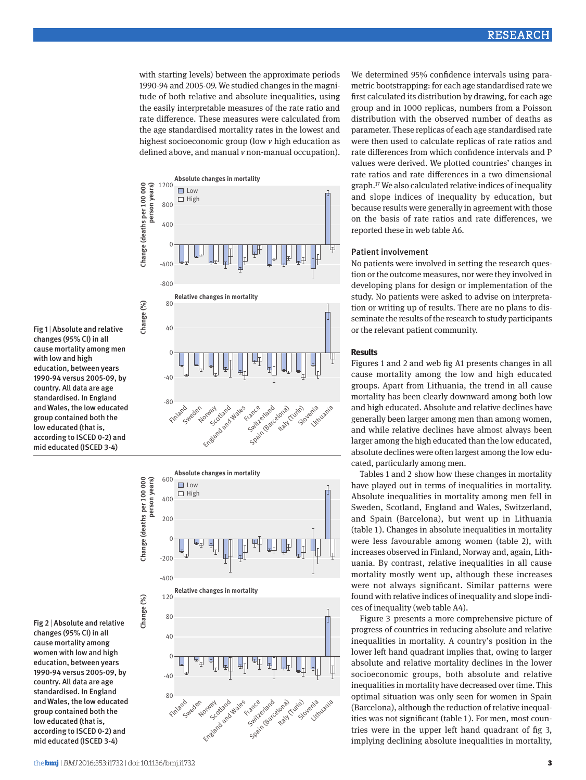with starting levels) between the approximate periods 1990-94 and 2005-09. We studied changes in the magnitude of both relative and absolute inequalities, using the easily interpretable measures of the rate ratio and rate difference. These measures were calculated from the age standardised mortality rates in the lowest and highest socioeconomic group (low *v* high education as defined above, and manual *v* non-manual occupation).



Fig 1 | Absolute and relative changes (95% CI) in all cause mortality among men with low and high education, between years 1990-94 versus 2005-09, by country. All data are age standardised. In England and Wales, the low educated group contained both the low educated (that is, according to ISCED 0-2) and mid educated (ISCED 3-4)



We determined 95% confidence intervals using parametric bootstrapping: for each age standardised rate we first calculated its distribution by drawing, for each age group and in 1000 replicas, numbers from a Poisson distribution with the observed number of deaths as parameter. These replicas of each age standardised rate were then used to calculate replicas of rate ratios and rate differences from which confidence intervals and P values were derived. We plotted countries' changes in rate ratios and rate differences in a two dimensional graph.17 We also calculated relative indices of inequality and slope indices of inequality by education, but because results were generally in agreement with those on the basis of rate ratios and rate differences, we reported these in web table A6.

# Patient involvement

No patients were involved in setting the research question or the outcome measures, nor were they involved in developing plans for design or implementation of the study. No patients were asked to advise on interpretation or writing up of results. There are no plans to disseminate the results of the research to study participants or the relevant patient community.

#### **Results**

Figures 1 and 2 and web fig A1 presents changes in all cause mortality among the low and high educated groups. Apart from Lithuania, the trend in all cause mortality has been clearly downward among both low and high educated. Absolute and relative declines have generally been larger among men than among women, and while relative declines have almost always been larger among the high educated than the low educated, absolute declines were often largest among the low educated, particularly among men.

Tables 1 and 2 show how these changes in mortality have played out in terms of inequalities in mortality. Absolute inequalities in mortality among men fell in Sweden, Scotland, England and Wales, Switzerland, and Spain (Barcelona), but went up in Lithuania (table 1). Changes in absolute inequalities in mortality were less favourable among women (table 2), with increases observed in Finland, Norway and, again, Lithuania. By contrast, relative inequalities in all cause mortality mostly went up, although these increases were not always significant. Similar patterns were found with relative indices of inequality and slope indices of inequality (web table A4).

Figure 3 presents a more comprehensive picture of progress of countries in reducing absolute and relative inequalities in mortality. A country's position in the lower left hand quadrant implies that, owing to larger absolute and relative mortality declines in the lower socioeconomic groups, both absolute and relative inequalities in mortality have decreased over time. This optimal situation was only seen for women in Spain (Barcelona), although the reduction of relative inequalities was not significant (table 1). For men, most countries were in the upper left hand quadrant of fig 3, implying declining absolute inequalities in mortality,

Fig 2 | Absolute and relative changes (95% CI) in all cause mortality among women with low and high education, between years 1990-94 versus 2005-09, by country. All data are age standardised. In England and Wales, the low educated group contained both the low educated (that is, according to ISCED 0-2) and mid educated (ISCED 3-4)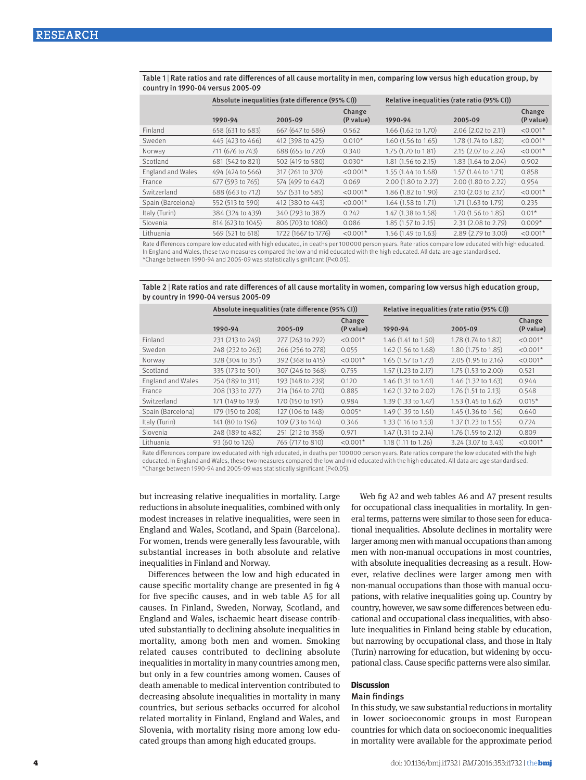| Table 1   Rate ratios and rate differences of all cause mortality in men, comparing low versus high education group, by |
|-------------------------------------------------------------------------------------------------------------------------|
| country in 1990-04 versus 2005-09                                                                                       |

|                          | Absolute inequalities (rate difference (95% CI)) |                     |                     | Relative inequalities (rate ratio (95% CI)) |                     |                     |
|--------------------------|--------------------------------------------------|---------------------|---------------------|---------------------------------------------|---------------------|---------------------|
|                          | 1990-94                                          | 2005-09             | Change<br>(P value) | 1990-94                                     | 2005-09             | Change<br>(P value) |
| Finland                  | 658 (631 to 683)                                 | 667 (647 to 686)    | 0.562               | 1.66 (1.62 to 1.70)                         | 2.06 (2.02 to 2.11) | $< 0.001*$          |
| Sweden                   | 445 (423 to 466)                                 | 412 (398 to 425)    | $0.010*$            | 1.60 (1.56 to 1.65)                         | 1.78 (1.74 to 1.82) | $< 0.001*$          |
| Norway                   | 711 (676 to 743)                                 | 688 (655 to 720)    | 0.340               | 1.75 (1.70 to 1.81)                         | 2.15 (2.07 to 2.24) | $< 0.001*$          |
| Scotland                 | 681 (542 to 821)                                 | 502 (419 to 580)    | $0.030*$            | 1.81 (1.56 to 2.15)                         | 1.83 (1.64 to 2.04) | 0.902               |
| <b>England and Wales</b> | 494 (424 to 566)                                 | 317 (261 to 370)    | $< 0.001*$          | 1.55 (1.44 to 1.68)                         | 1.57 (1.44 to 1.71) | 0.858               |
| France                   | 677 (593 to 765)                                 | 574 (499 to 642)    | 0.069               | 2.00 (1.80 to 2.27)                         | 2.00 (1.80 to 2.22) | 0.954               |
| Switzerland              | 688 (663 to 712)                                 | 557 (531 to 585)    | $< 0.001*$          | 1.86 (1.82 to 1.90)                         | 2.10 (2.03 to 2.17) | $< 0.001*$          |
| Spain (Barcelona)        | 552 (513 to 590)                                 | 412 (380 to 443)    | $< 0.001*$          | 1.64 (1.58 to 1.71)                         | 1.71 (1.63 to 1.79) | 0.235               |
| Italy (Turin)            | 384 (324 to 439)                                 | 340 (293 to 382)    | 0.242               | 1.47 (1.38 to 1.58)                         | 1.70 (1.56 to 1.85) | $0.01*$             |
| Slovenia                 | 814 (623 to 1045)                                | 806 (703 to 1080)   | 0.086               | 1.85 (1.57 to 2.15)                         | 2.31 (2.08 to 2.79) | $0.009*$            |
| Lithuania                | 569 (521 to 618)                                 | 1722 (1667 to 1776) | $< 0.001*$          | 1.56 (1.49 to 1.63)                         | 2.89 (2.79 to 3.00) | $< 0.001*$          |

Rate differences compare low educated with high educated, in deaths per 100000 person years. Rate ratios compare low educated with high educated. In England and Wales, these two measures compared the low and mid educated with the high educated. All data are age standardised.

\*Change between 1990-94 and 2005-09 was statistically significant (P<0.05).

Table 2 | Rate ratios and rate differences of all cause mortality in women, comparing low versus high education group, by country in 1990-04 versus 2005-09

|                   | Absolute inequalities (rate difference (95% CI)) |                  |                     | Relative inequalities (rate ratio (95% CI)) |                     |                     |
|-------------------|--------------------------------------------------|------------------|---------------------|---------------------------------------------|---------------------|---------------------|
|                   | 1990-94                                          | 2005-09          | Change<br>(P value) | 1990-94                                     | 2005-09             | Change<br>(P value) |
| Finland           | 231 (213 to 249)                                 | 277 (263 to 292) | $< 0.001*$          | 1.46 (1.41 to 1.50)                         | 1.78 (1.74 to 1.82) | $< 0.001*$          |
| Sweden            | 248 (232 to 263)                                 | 266 (256 to 278) | 0.055               | 1.62 (1.56 to 1.68)                         | 1.80 (1.75 to 1.85) | $< 0.001*$          |
| Norway            | 328 (304 to 351)                                 | 392 (368 to 415) | $< 0.001*$          | 1.65 (1.57 to 1.72)                         | 2.05 (1.95 to 2.16) | $< 0.001*$          |
| Scotland          | 335 (173 to 501)                                 | 307 (246 to 368) | 0.755               | 1.57 (1.23 to 2.17)                         | 1.75 (1.53 to 2.00) | 0.521               |
| England and Wales | 254 (189 to 311)                                 | 193 (148 to 239) | 0.120               | 1.46 (1.31 to 1.61)                         | 1.46 (1.32 to 1.63) | 0.944               |
| France            | 208 (133 to 277)                                 | 214 (164 to 270) | 0.885               | 1.62 (1.32 to 2.02)                         | 1.76 (1.51 to 2.13) | 0.548               |
| Switzerland       | 171 (149 to 193)                                 | 170 (150 to 191) | 0.984               | 1.39 (1.33 to 1.47)                         | 1.53 (1.45 to 1.62) | $0.015*$            |
| Spain (Barcelona) | 179 (150 to 208)                                 | 127 (106 to 148) | $0.005*$            | 1.49 (1.39 to 1.61)                         | 1.45 (1.36 to 1.56) | 0.640               |
| Italy (Turin)     | 141 (80 to 196)                                  | 109 (73 to 144)  | 0.346               | 1.33 (1.16 to 1.53)                         | 1.37 (1.23 to 1.55) | 0.724               |
| Slovenia          | 248 (189 to 482)                                 | 251 (212 to 358) | 0.971               | 1.47 (1.31 to 2.14)                         | 1.76 (1.59 to 2.12) | 0.809               |
| Lithuania         | 93 (60 to 126)                                   | 765 (717 to 810) | $< 0.001*$          | 1.18 (1.11 to 1.26)                         | 3.24 (3.07 to 3.43) | $< 0.001*$          |

Rate differences compare low educated with high educated, in deaths per 100000 person years. Rate ratios compare the low educated with the high educated. In England and Wales, these two measures compared the low and mid educated with the high educated. All data are age standardised. \*Change between 1990-94 and 2005-09 was statistically significant (P<0.05).

but increasing relative inequalities in mortality. Large reductions in absolute inequalities, combined with only modest increases in relative inequalities, were seen in England and Wales, Scotland, and Spain (Barcelona). For women, trends were generally less favourable, with substantial increases in both absolute and relative inequalities in Finland and Norway.

Differences between the low and high educated in cause specific mortality change are presented in fig 4 for five specific causes, and in web table A5 for all causes. In Finland, Sweden, Norway, Scotland, and England and Wales, ischaemic heart disease contributed substantially to declining absolute inequalities in mortality, among both men and women. Smoking related causes contributed to declining absolute inequalities in mortality in many countries among men, but only in a few countries among women. Causes of death amenable to medical intervention contributed to decreasing absolute inequalities in mortality in many countries, but serious setbacks occurred for alcohol related mortality in Finland, England and Wales, and Slovenia, with mortality rising more among low educated groups than among high educated groups.

Web fig A2 and web tables A6 and A7 present results for occupational class inequalities in mortality. In general terms, patterns were similar to those seen for educational inequalities. Absolute declines in mortality were larger among men with manual occupations than among men with non-manual occupations in most countries, with absolute inequalities decreasing as a result. However, relative declines were larger among men with non-manual occupations than those with manual occupations, with relative inequalities going up. Country by country, however, we saw some differences between educational and occupational class inequalities, with absolute inequalities in Finland being stable by education, but narrowing by occupational class, and those in Italy (Turin) narrowing for education, but widening by occupational class. Cause specific patterns were also similar.

## **Discussion**

## Main findings

In this study, we saw substantial reductions in mortality in lower socioeconomic groups in most European countries for which data on socioeconomic inequalities in mortality were available for the approximate period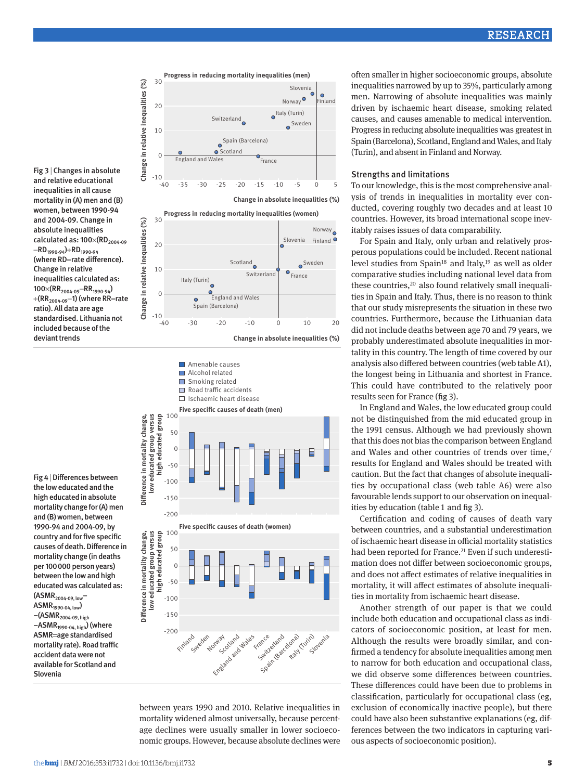Fig 3 | Changes in absolute and relative educational inequalities in all cause mortality in (A) men and (B) women, between 1990-94 and 2004-09. Change in absolute inequalities calculated as:  $100 \times (RD_{2004-09})$ −RD1990-94)÷RD1990-94 (where RD=rate difference). Change in relative inequalities calculated as: 100×(RR<sub>2004-09</sub>–RR<sub>1990-94</sub>) ÷(RR<sub>2004-09</sub>-1) (where RR=rate ratio). All data are age standardised. Lithuania not included because of the deviant trends





**Amenable causes** Alcohol related Smoking related  $\Box$  Road traffic accidents  $\Box$  Ischaemic heart disease **Five specific causes of death (men)** 100 educated group versus<br>high educated group **low educated group versus high educated group** 50  $\mathsf{C}$ -50  $-100$  $\sum_{i=1}^{n}$  $-150$  $-200$ **Five specific causes of death (women)** Difference in mortality change,<br>low educated group versus<br>high educated group 100 **low educated group versus high educated group** 50  $\sqrt{2}$  $-50$  $-100$  $-150$ Italy (Turin)  $-200$ Switzerland Slovenia Finland Florway drand wates ance exampledama Sweden

between years 1990 and 2010. Relative inequalities in mortality widened almost universally, because percentage declines were usually smaller in lower socioeconomic groups. However, because absolute declines were

often smaller in higher socioeconomic groups, absolute inequalities narrowed by up to 35%, particularly among men. Narrowing of absolute inequalities was mainly driven by ischaemic heart disease, smoking related causes, and causes amenable to medical intervention. Progress in reducing absolute inequalities was greatest in Spain (Barcelona), Scotland, England and Wales, and Italy (Turin), and absent in Finland and Norway.

# Strengths and limitations

To our knowledge, this is the most comprehensive analysis of trends in inequalities in mortality ever conducted, covering roughly two decades and at least 10 countries. However, its broad international scope inevitably raises issues of data comparability.

For Spain and Italy, only urban and relatively prosperous populations could be included. Recent national level studies from Spain<sup>18</sup> and Italy,<sup>19</sup> as well as older comparative studies including national level data from these countries,<sup>20</sup> also found relatively small inequalities in Spain and Italy. Thus, there is no reason to think that our study misrepresents the situation in these two countries. Furthermore, because the Lithuanian data did not include deaths between age 70 and 79 years, we probably underestimated absolute inequalities in mortality in this country. The length of time covered by our analysis also differed between countries (web table A1), the longest being in Lithuania and shortest in France. This could have contributed to the relatively poor results seen for France (fig 3).

In England and Wales, the low educated group could not be distinguished from the mid educated group in the 1991 census. Although we had previously shown that this does not bias the comparison between England and Wales and other countries of trends over time,<sup>7</sup> results for England and Wales should be treated with caution. But the fact that changes of absolute inequalities by occupational class (web table A6) were also favourable lends support to our observation on inequalities by education (table 1 and fig 3).

Certification and coding of causes of death vary between countries, and a substantial underestimation of ischaemic heart disease in official mortality statistics had been reported for France.<sup>21</sup> Even if such underestimation does not differ between socioeconomic groups, and does not affect estimates of relative inequalities in mortality, it will affect estimates of absolute inequalities in mortality from ischaemic heart disease.

Another strength of our paper is that we could include both education and occupational class as indicators of socioeconomic position, at least for men. Although the results were broadly similar, and confirmed a tendency for absolute inequalities among men to narrow for both education and occupational class, we did observe some differences between countries. These differences could have been due to problems in classification, particularly for occupational class (eg, exclusion of economically inactive people), but there could have also been substantive explanations (eg, differences between the two indicators in capturing various aspects of socioeconomic position).

Fig 4 | Differences between the low educated and the high educated in absolute mortality change for (A) men and (B) women, between 1990-94 and 2004-09, by country and for five specific causes of death. Difference in mortality change (in deaths per 100000 person years) between the low and high educated was calculated as:  $(ASMR_{2004-09, low}$ ASMR1990-04, low)  $-(ASMR<sub>2004-09, high</sub>$  $-ASMR_{1990-04, high}$  (where ASMR=age standardised mortality rate). Road traffic accident data were not available for Scotland and Slovenia

Difference in mortality change, **erence in mortality change,**

**erence in mortality change,**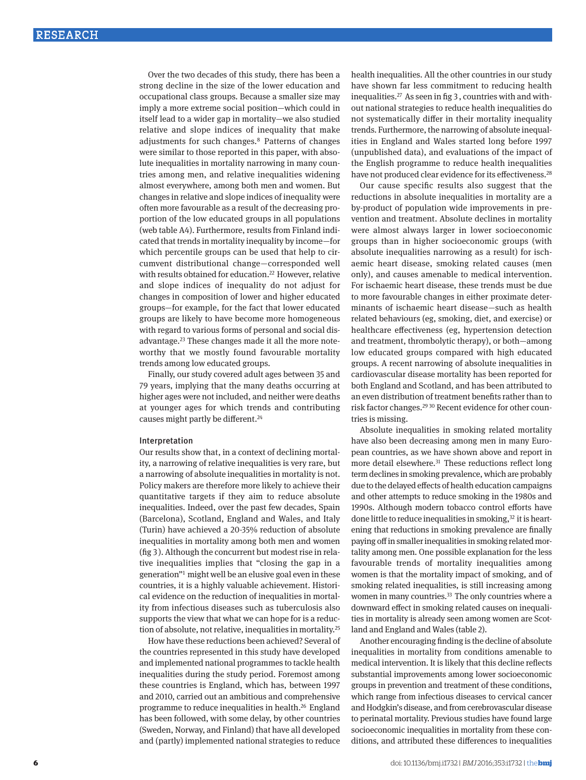Over the two decades of this study, there has been a strong decline in the size of the lower education and occupational class groups. Because a smaller size may imply a more extreme social position—which could in itself lead to a wider gap in mortality—we also studied relative and slope indices of inequality that make adjustments for such changes.8 Patterns of changes were similar to those reported in this paper, with absolute inequalities in mortality narrowing in many countries among men, and relative inequalities widening almost everywhere, among both men and women. But changes in relative and slope indices of inequality were often more favourable as a result of the decreasing proportion of the low educated groups in all populations (web table A4). Furthermore, results from Finland indicated that trends in mortality inequality by income—for which percentile groups can be used that help to circumvent distributional change—corresponded well with results obtained for education.<sup>22</sup> However, relative and slope indices of inequality do not adjust for changes in composition of lower and higher educated groups—for example, for the fact that lower educated groups are likely to have become more homogeneous with regard to various forms of personal and social disadvantage.23 These changes made it all the more noteworthy that we mostly found favourable mortality trends among low educated groups.

Finally, our study covered adult ages between 35 and 79 years, implying that the many deaths occurring at higher ages were not included, and neither were deaths at younger ages for which trends and contributing causes might partly be different.<sup>24</sup>

#### Interpretation

Our results show that, in a context of declining mortality, a narrowing of relative inequalities is very rare, but a narrowing of absolute inequalities in mortality is not. Policy makers are therefore more likely to achieve their quantitative targets if they aim to reduce absolute inequalities. Indeed, over the past few decades, Spain (Barcelona), Scotland, England and Wales, and Italy (Turin) have achieved a 20-35% reduction of absolute inequalities in mortality among both men and women (fig 3 ). Although the concurrent but modest rise in relative inequalities implies that "closing the gap in a generation"1 might well be an elusive goal even in these countries, it is a highly valuable achievement. Historical evidence on the reduction of inequalities in mortality from infectious diseases such as tuberculosis also supports the view that what we can hope for is a reduction of absolute, not relative, inequalities in mortality.25

How have these reductions been achieved? Several of the countries represented in this study have developed and implemented national programmes to tackle health inequalities during the study period. Foremost among these countries is England, which has, between 1997 and 2010, carried out an ambitious and comprehensive programme to reduce inequalities in health.26 England has been followed, with some delay, by other countries (Sweden, Norway, and Finland) that have all developed and (partly) implemented national strategies to reduce health inequalities. All the other countries in our study have shown far less commitment to reducing health inequalities.27 As seen in fig 3 , countries with and without national strategies to reduce health inequalities do not systematically differ in their mortality inequality trends. Furthermore, the narrowing of absolute inequalities in England and Wales started long before 1997 (unpublished data), and evaluations of the impact of the English programme to reduce health inequalities have not produced clear evidence for its effectiveness.<sup>28</sup>

Our cause specific results also suggest that the reductions in absolute inequalities in mortality are a by-product of population wide improvements in prevention and treatment. Absolute declines in mortality were almost always larger in lower socioeconomic groups than in higher socioeconomic groups (with absolute inequalities narrowing as a result) for ischaemic heart disease, smoking related causes (men only), and causes amenable to medical intervention. For ischaemic heart disease, these trends must be due to more favourable changes in either proximate determinants of ischaemic heart disease—such as health related behaviours (eg, smoking, diet, and exercise) or healthcare effectiveness (eg, hypertension detection and treatment, thrombolytic therapy), or both—among low educated groups compared with high educated groups. A recent narrowing of absolute inequalities in cardiovascular disease mortality has been reported for both England and Scotland, and has been attributed to an even distribution of treatment benefits rather than to risk factor changes.29 30 Recent evidence for other countries is missing.

Absolute inequalities in smoking related mortality have also been decreasing among men in many European countries, as we have shown above and report in more detail elsewhere.<sup>31</sup> These reductions reflect long term declines in smoking prevalence, which are probably due to the delayed effects of health education campaigns and other attempts to reduce smoking in the 1980s and 1990s. Although modern tobacco control efforts have done little to reduce inequalities in smoking,<sup>32</sup> it is heartening that reductions in smoking prevalence are finally paying off in smaller inequalities in smoking related mortality among men. One possible explanation for the less favourable trends of mortality inequalities among women is that the mortality impact of smoking, and of smoking related inequalities, is still increasing among women in many countries.<sup>33</sup> The only countries where a downward effect in smoking related causes on inequalities in mortality is already seen among women are Scotland and England and Wales (table 2).

Another encouraging finding is the decline of absolute inequalities in mortality from conditions amenable to medical intervention. It is likely that this decline reflects substantial improvements among lower socioeconomic groups in prevention and treatment of these conditions, which range from infectious diseases to cervical cancer and Hodgkin's disease, and from cerebrovascular disease to perinatal mortality. Previous studies have found large socioeconomic inequalities in mortality from these conditions, and attributed these differences to inequalities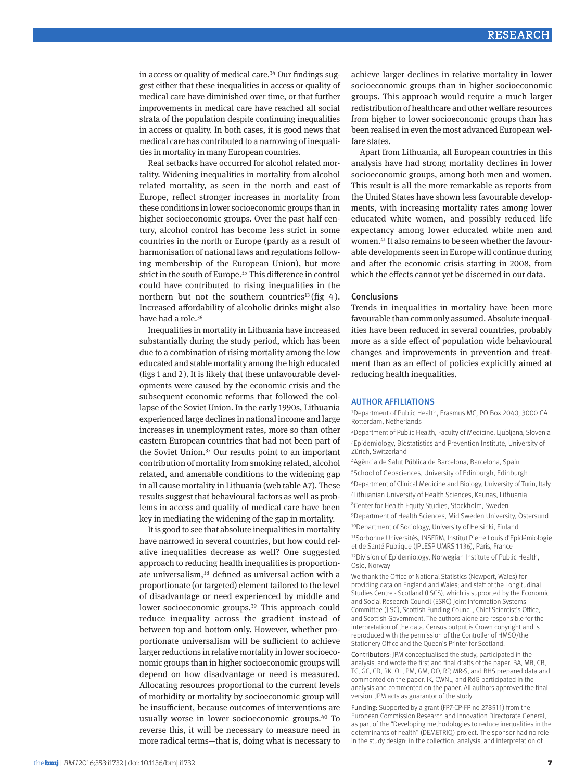in access or quality of medical care.<sup>34</sup> Our findings suggest either that these inequalities in access or quality of medical care have diminished over time, or that further improvements in medical care have reached all social strata of the population despite continuing inequalities in access or quality. In both cases, it is good news that medical care has contributed to a narrowing of inequalities in mortality in many European countries.

Real setbacks have occurred for alcohol related mortality. Widening inequalities in mortality from alcohol related mortality, as seen in the north and east of Europe, reflect stronger increases in mortality from these conditions in lower socioeconomic groups than in higher socioeconomic groups. Over the past half century, alcohol control has become less strict in some countries in the north or Europe (partly as a result of harmonisation of national laws and regulations following membership of the European Union), but more strict in the south of Europe.<sup>35</sup> This difference in control could have contributed to rising inequalities in the northern but not the southern countries<sup>13</sup> (fig 4). Increased affordability of alcoholic drinks might also have had a role.<sup>36</sup>

Inequalities in mortality in Lithuania have increased substantially during the study period, which has been due to a combination of rising mortality among the low educated and stable mortality among the high educated (figs 1 and 2). It is likely that these unfavourable developments were caused by the economic crisis and the subsequent economic reforms that followed the collapse of the Soviet Union. In the early 1990s, Lithuania experienced large declines in national income and large increases in unemployment rates, more so than other eastern European countries that had not been part of the Soviet Union.37 Our results point to an important contribution of mortality from smoking related, alcohol related, and amenable conditions to the widening gap in all cause mortality in Lithuania (web table A7). These results suggest that behavioural factors as well as problems in access and quality of medical care have been key in mediating the widening of the gap in mortality.

It is good to see that absolute inequalities in mortality have narrowed in several countries, but how could relative inequalities decrease as well? One suggested approach to reducing health inequalities is proportionate universalism,38 defined as universal action with a proportionate (or targeted) element tailored to the level of disadvantage or need experienced by middle and lower socioeconomic groups.<sup>39</sup> This approach could reduce inequality across the gradient instead of between top and bottom only. However, whether proportionate universalism will be sufficient to achieve larger reductions in relative mortality in lower socioeconomic groups than in higher socioeconomic groups will depend on how disadvantage or need is measured. Allocating resources proportional to the current levels of morbidity or mortality by socioeconomic group will be insufficient, because outcomes of interventions are usually worse in lower socioeconomic groups.40 To reverse this, it will be necessary to measure need in more radical terms—that is, doing what is necessary to achieve larger declines in relative mortality in lower socioeconomic groups than in higher socioeconomic groups. This approach would require a much larger redistribution of healthcare and other welfare resources from higher to lower socioeconomic groups than has been realised in even the most advanced European welfare states.

Apart from Lithuania, all European countries in this analysis have had strong mortality declines in lower socioeconomic groups, among both men and women. This result is all the more remarkable as reports from the United States have shown less favourable developments, with increasing mortality rates among lower educated white women, and possibly reduced life expectancy among lower educated white men and women.41 It also remains to be seen whether the favourable developments seen in Europe will continue during and after the economic crisis starting in 2008, from which the effects cannot yet be discerned in our data.

#### Conclusions

Trends in inequalities in mortality have been more favourable than commonly assumed. Absolute inequalities have been reduced in several countries, probably more as a side effect of population wide behavioural changes and improvements in prevention and treatment than as an effect of policies explicitly aimed at reducing health inequalities.

#### Author affiliations

1Department of Public Health, Erasmus MC, PO Box 2040, 3000 CA Rotterdam, Netherlands

2Department of Public Health, Faculty of Medicine, Ljubljana, Slovenia 3Epidemiology, Biostatistics and Prevention Institute, University of Zürich, Switzerland

4Agència de Salut Pública de Barcelona, Barcelona, Spain 5School of Geosciences, University of Edinburgh, Edinburgh 6Department of Clinical Medicine and Biology, University of Turin, Italy 7 Lithuanian University of Health Sciences, Kaunas, Lithuania

8Center for Health Equity Studies, Stockholm, Sweden

9Department of Health Sciences, Mid Sweden University, Östersund 10Department of Sociology, University of Helsinki, Finland

11Sorbonne Universités, INSERM, Institut Pierre Louis d'Epidémiologie et de Santé Publique (IPLESP UMRS 1136), Paris, France

12Division of Epidemiology, Norwegian Institute of Public Health, Oslo, Norway

We thank the Office of National Statistics (Newport, Wales) for providing data on England and Wales; and staff of the Longitudinal Studies Centre - Scotland (LSCS), which is supported by the Economic and Social Research Council (ESRC) Joint Information Systems Committee (JISC), Scottish Funding Council, Chief Scientist's Office, and Scottish Government. The authors alone are responsible for the interpretation of the data. Census output is Crown copyright and is reproduced with the permission of the Controller of HMSO/the Stationery Office and the Queen's Printer for Scotland.

Contributors: JPM conceptualised the study, participated in the analysis, and wrote the first and final drafts of the paper. BA, MB, CB, TC, GC, CD, RK, OL, PM, GM, OO, RP, MR-S, and BHS prepared data and commented on the paper. IK, CWNL, and RdG participated in the analysis and commented on the paper. All authors approved the final version. JPM acts as guarantor of the study.

Funding: Supported by a grant (FP7-CP-FP no 278511) from the European Commission Research and Innovation Directorate General, as part of the "Developing methodologies to reduce inequalities in the determinants of health" (DEMETRIQ) project. The sponsor had no role in the study design; in the collection, analysis, and interpretation of